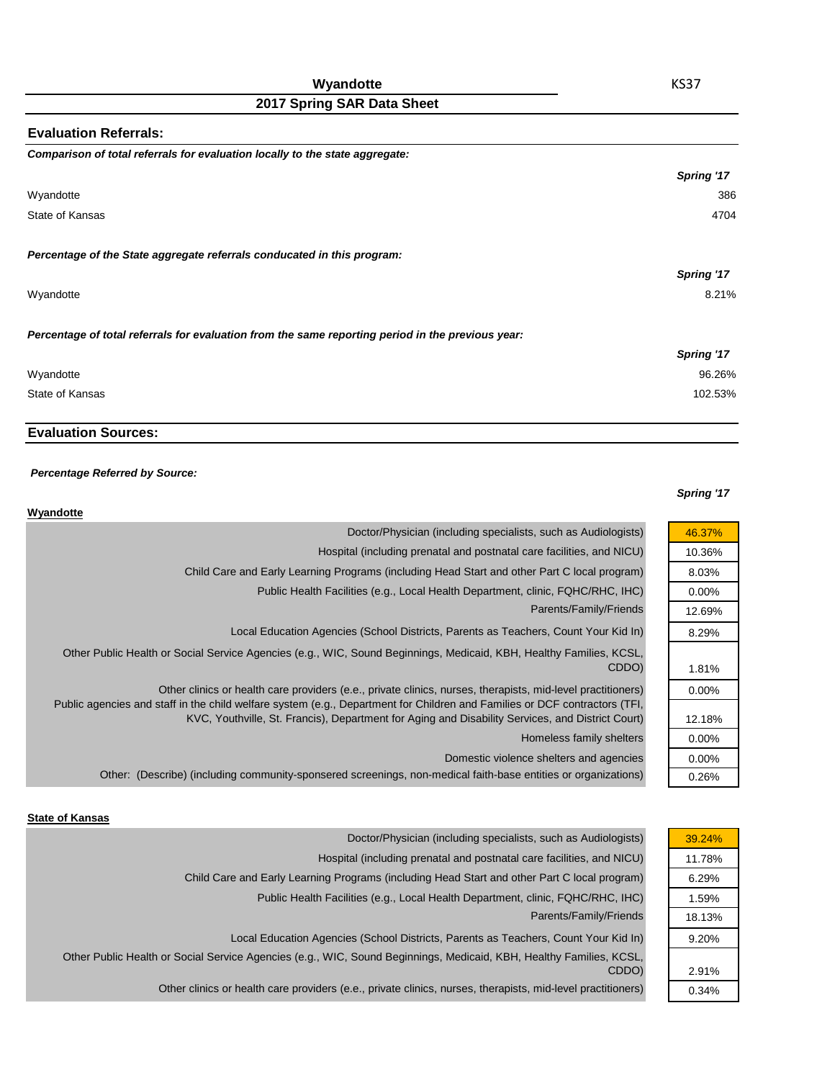| Wyandotte |  |
|-----------|--|
|-----------|--|

| <b>Evaluation Referrals:</b>                                                                      |            |
|---------------------------------------------------------------------------------------------------|------------|
| Comparison of total referrals for evaluation locally to the state aggregate:                      |            |
|                                                                                                   | Spring '17 |
| Wyandotte                                                                                         | 386        |
| State of Kansas                                                                                   | 4704       |
| Percentage of the State aggregate referrals conducated in this program:                           |            |
|                                                                                                   | Spring '17 |
| Wyandotte                                                                                         | 8.21%      |
| Percentage of total referrals for evaluation from the same reporting period in the previous year: |            |
|                                                                                                   | Spring '17 |
| Wyandotte                                                                                         | 96.26%     |
| State of Kansas                                                                                   | 102.53%    |
|                                                                                                   |            |

# **Evaluation Sources:**

## *Percentage Referred by Source:*

### *Spring '17*

| Wyandotte                                                                                                                                                                                                                      |          |
|--------------------------------------------------------------------------------------------------------------------------------------------------------------------------------------------------------------------------------|----------|
| Doctor/Physician (including specialists, such as Audiologists)                                                                                                                                                                 | 46.37%   |
| Hospital (including prenatal and postnatal care facilities, and NICU)                                                                                                                                                          | 10.36%   |
| Child Care and Early Learning Programs (including Head Start and other Part C local program)                                                                                                                                   | 8.03%    |
| Public Health Facilities (e.g., Local Health Department, clinic, FQHC/RHC, IHC)                                                                                                                                                | $0.00\%$ |
| Parents/Family/Friends                                                                                                                                                                                                         | 12.69%   |
| Local Education Agencies (School Districts, Parents as Teachers, Count Your Kid In)                                                                                                                                            | 8.29%    |
| Other Public Health or Social Service Agencies (e.g., WIC, Sound Beginnings, Medicaid, KBH, Healthy Families, KCSL,<br>CDDO)                                                                                                   | 1.81%    |
| Other clinics or health care providers (e.e., private clinics, nurses, therapists, mid-level practitioners)                                                                                                                    | $0.00\%$ |
| Public agencies and staff in the child welfare system (e.g., Department for Children and Families or DCF contractors (TFI,<br>KVC, Youthville, St. Francis), Department for Aging and Disability Services, and District Court) | 12.18%   |
| Homeless family shelters                                                                                                                                                                                                       | $0.00\%$ |
| Domestic violence shelters and agencies                                                                                                                                                                                        | $0.00\%$ |
| Other: (Describe) (including community-sponsered screenings, non-medical faith-base entities or organizations)                                                                                                                 | 0.26%    |
|                                                                                                                                                                                                                                |          |

#### **State of Kansas**

| 39.24% |
|--------|
| 11.78% |
| 6.29%  |
| 1.59%  |
| 18.13% |
| 9.20%  |
|        |
| 2.91%  |
| 0.34%  |
|        |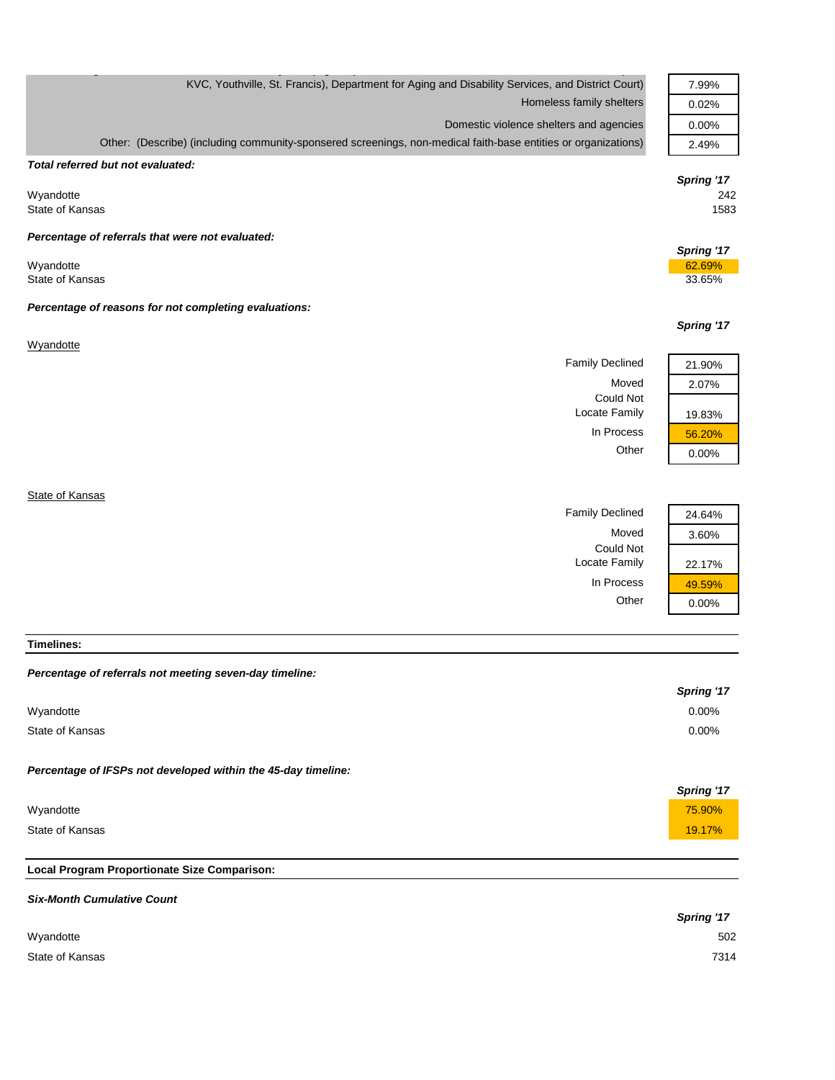| KVC, Youthville, St. Francis), Department for Aging and Disability Services, and District Court)               | 7.99%      |
|----------------------------------------------------------------------------------------------------------------|------------|
| Homeless family shelters                                                                                       | 0.02%      |
| Domestic violence shelters and agencies                                                                        | 0.00%      |
| Other: (Describe) (including community-sponsered screenings, non-medical faith-base entities or organizations) | 2.49%      |
| Total referred but not evaluated:                                                                              |            |
|                                                                                                                | Spring '17 |
| Wyandotte                                                                                                      | 242        |
| State of Kansas                                                                                                | 1583       |
| Percentage of referrals that were not evaluated:                                                               |            |
|                                                                                                                | Spring '17 |
| Wyandotte                                                                                                      | 62.69%     |
| State of Kansas                                                                                                | 33.65%     |
| Percentage of reasons for not completing evaluations:                                                          |            |
|                                                                                                                | Spring '17 |
| Wyandotte                                                                                                      |            |
| <b>Family Declined</b>                                                                                         | 21.90%     |
| Moved                                                                                                          | 2.07%      |
| <b>Could Not</b>                                                                                               |            |
| Locate Family                                                                                                  | 19.83%     |
| In Process                                                                                                     | 56.20%     |
| Other                                                                                                          | 0.00%      |
|                                                                                                                |            |
| State of Kansas                                                                                                |            |
| <b>Family Declined</b>                                                                                         | 24.64%     |
|                                                                                                                |            |

**Timelines:**

#### *Percentage of referrals not meeting seven-day timeline:*

|                                                               | Spring '17 |
|---------------------------------------------------------------|------------|
| Wyandotte                                                     | $0.00\%$   |
| State of Kansas                                               | $0.00\%$   |
| Percentage of IFSPs not developed within the 45-day timeline: |            |
|                                                               | Spring '17 |
| Wyandotte                                                     | 75.90%     |
| State of Kansas                                               | 19.17%     |

Could Not

Locate Family 22.17%

In Process  $\frac{49.59\%}{0.00\%}$ 

 $0.00%$ 

## **Local Program Proportionate Size Comparison:**

| <b>Six-Month Cumulative Count</b> |            |
|-----------------------------------|------------|
|                                   | Spring '17 |
| Wyandotte                         | 502        |
| State of Kansas                   | 7314       |